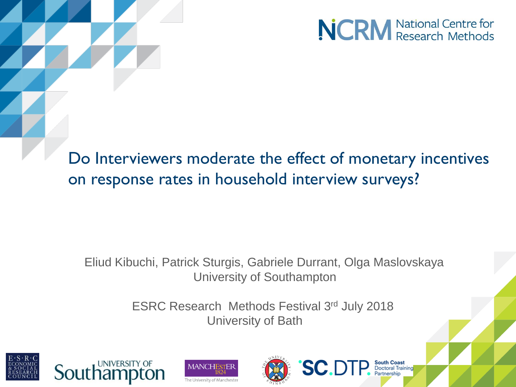

**South Coast**<br>Doctoral Training

Do Interviewers moderate the effect of monetary incentives on response rates in household interview surveys?

#### Eliud Kibuchi, Patrick Sturgis, Gabriele Durrant, Olga Maslovskaya University of Southampton

ESRC Research Methods Festival 3rd July 2018 University of Bath







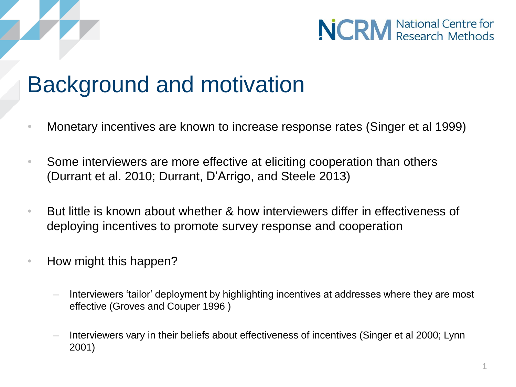



### Background and motivation

- Monetary incentives are known to increase response rates (Singer et al 1999)
- Some interviewers are more effective at eliciting cooperation than others (Durrant et al. 2010; Durrant, D'Arrigo, and Steele 2013)
- But little is known about whether & how interviewers differ in effectiveness of deploying incentives to promote survey response and cooperation
- How might this happen?
	- Interviewers 'tailor' deployment by highlighting incentives at addresses where they are most effective (Groves and Couper 1996 )
	- Interviewers vary in their beliefs about effectiveness of incentives (Singer et al 2000; Lynn 2001)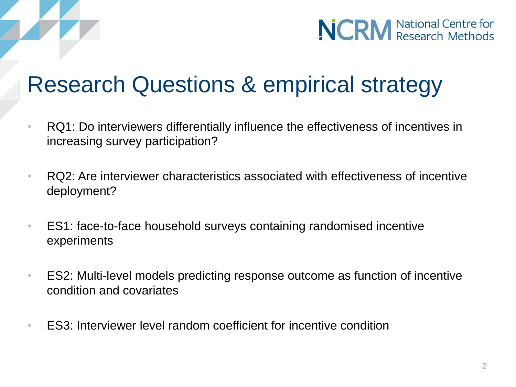

## Research Questions & empirical strategy

- RQ1: Do interviewers differentially influence the effectiveness of incentives in increasing survey participation?
- RQ2: Are interviewer characteristics associated with effectiveness of incentive deployment?
- ES1: face-to-face household surveys containing randomised incentive experiments
- ES2: Multi-level models predicting response outcome as function of incentive condition and covariates
- ES3: Interviewer level random coefficient for incentive condition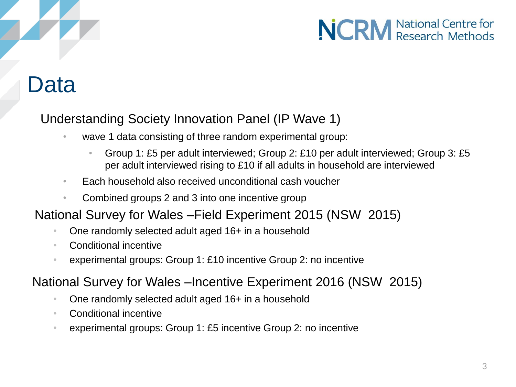### Data

### Understanding Society Innovation Panel (IP Wave 1)

- wave 1 data consisting of three random experimental group:
	- Group 1: £5 per adult interviewed; Group 2: £10 per adult interviewed; Group 3: £5 per adult interviewed rising to £10 if all adults in household are interviewed
- Each household also received unconditional cash voucher
- Combined groups 2 and 3 into one incentive group

#### National Survey for Wales –Field Experiment 2015 (NSW 2015)

- One randomly selected adult aged 16+ in a household
- Conditional incentive
- experimental groups: Group 1: £10 incentive Group 2: no incentive

#### National Survey for Wales –Incentive Experiment 2016 (NSW 2015)

- One randomly selected adult aged 16+ in a household
- Conditional incentive
- experimental groups: Group 1: £5 incentive Group 2: no incentive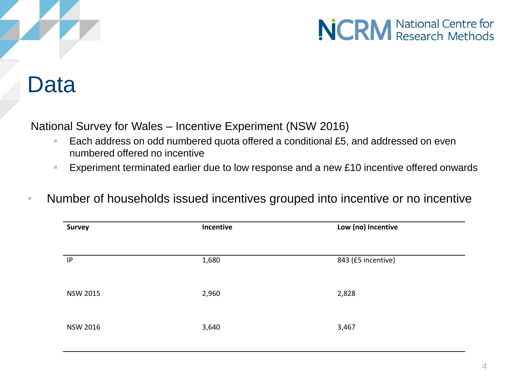

### Data

National Survey for Wales – Incentive Experiment (NSW 2016)

- Each address on odd numbered quota offered a conditional £5, and addressed on even numbered offered no incentive
- Experiment terminated earlier due to low response and a new £10 incentive offered onwards
- Number of households issued incentives grouped into incentive or no incentive

| <b>Survey</b>   | Incentive | Low (no) Incentive |  |
|-----------------|-----------|--------------------|--|
|                 |           |                    |  |
| IP              | 1,680     | 843 (£5 incentive) |  |
|                 |           |                    |  |
| <b>NSW 2015</b> | 2,960     | 2,828              |  |
|                 |           |                    |  |
| <b>NSW 2016</b> | 3,640     | 3,467              |  |
|                 |           |                    |  |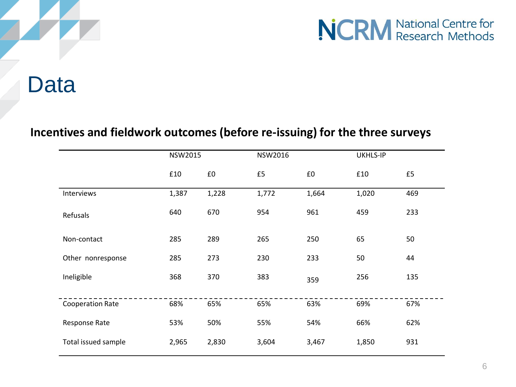

### **Data**

#### **Incentives and fieldwork outcomes (before re-issuing) for the three surveys**

|                         | <b>NSW2015</b> |       | <b>NSW2016</b> |       | UKHLS-IP |     |
|-------------------------|----------------|-------|----------------|-------|----------|-----|
|                         | £10            | £0    | £5             | £0    | £10      | £5  |
| Interviews              | 1,387          | 1,228 | 1,772          | 1,664 | 1,020    | 469 |
| Refusals                | 640            | 670   | 954            | 961   | 459      | 233 |
| Non-contact             | 285            | 289   | 265            | 250   | 65       | 50  |
| Other nonresponse       | 285            | 273   | 230            | 233   | 50       | 44  |
| Ineligible              | 368            | 370   | 383            | 359   | 256      | 135 |
| <b>Cooperation Rate</b> | 68%            | 65%   | 65%            | 63%   | 69%      | 67% |
| Response Rate           | 53%            | 50%   | 55%            | 54%   | 66%      | 62% |
| Total issued sample     | 2,965          | 2,830 | 3,604          | 3,467 | 1,850    | 931 |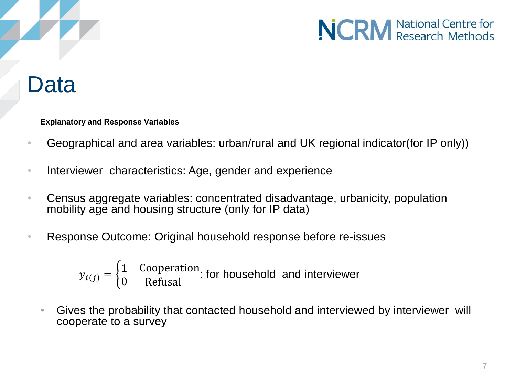

### Data

**Explanatory and Response Variables**

- Geographical and area variables: urban/rural and UK regional indicator(for IP only))
- Interviewer characteristics: Age, gender and experience
- Census aggregate variables: concentrated disadvantage, urbanicity, population mobility age and housing structure (only for IP data)
- Response Outcome: Original household response before re-issues

$$
y_{i(j)} = \begin{cases} 1 & \text{Cooperation} \\ 0 & \text{Refusal} \end{cases}
$$
 for household and interviewer

• Gives the probability that contacted household and interviewed by interviewer will cooperate to a survey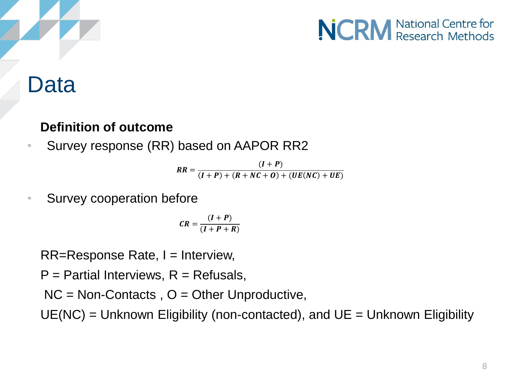



### Data

#### **Definition of outcome**

• Survey response (RR) based on AAPOR RR2

 $RR =$  $(I + P)$  $(I + P) + (R + NC + O) + (UE(NC) + UE)$ 

Survey cooperation before

$$
CR = \frac{(I+P)}{(I+P+R)}
$$

 $RR =$ Response Rate,  $I =$  Interview,

 $P =$  Partial Interviews,  $R =$  Refusals,

 $NC = Non-Contents$ ,  $O = Other Unproductive$ ,

 $UE(NC) = Unknown$  Eligibility (non-contacted), and  $UE = Unknown$  Eligibility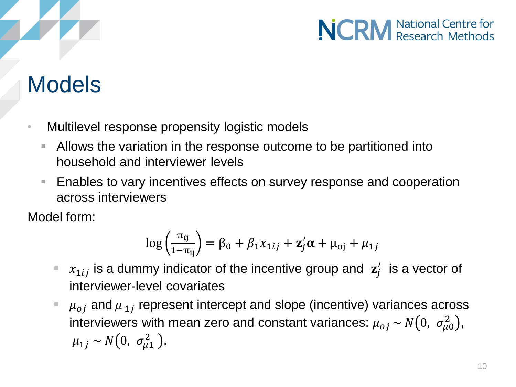## Models

- Multilevel response propensity logistic models
	- Allows the variation in the response outcome to be partitioned into household and interviewer levels
	- Enables to vary incentives effects on survey response and cooperation across interviewers

Model form:

$$
\log\left(\frac{\pi_{ij}}{1-\pi_{ij}}\right) = \beta_0 + \beta_1 x_{1ij} + \mathbf{z}'_j \boldsymbol{\alpha} + \mu_{oj} + \mu_{1j}
$$

- $x_{1ij}$  is a dummy indicator of the incentive group and  $z_j'$  is a vector of interviewer-level covariates
- $\mu_{oj}$  and  $\mu_{1j}$  represent intercept and slope (incentive) variances across interviewers with mean zero and constant variances:  $\mu_{oj}$  ~  $N\big(0,~\sigma_{\mu 0}^2\big),$  $\mu_{1j} \sim N(0, \sigma_{\mu 1}^2).$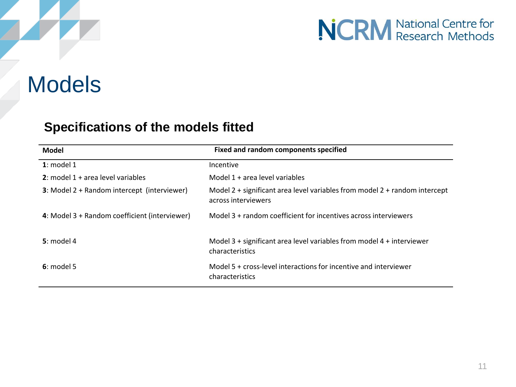### Models

#### **Specifications of the models fitted**

| Model                                         | Fixed and random components specified                                                             |
|-----------------------------------------------|---------------------------------------------------------------------------------------------------|
| $1:$ model 1                                  | Incentive                                                                                         |
| 2: model $1 +$ area level variables           | Model 1 + area level variables                                                                    |
| 3: Model 2 + Random intercept (interviewer)   | Model 2 + significant area level variables from model 2 + random intercept<br>across interviewers |
| 4: Model 3 + Random coefficient (interviewer) | Model 3 + random coefficient for incentives across interviewers                                   |
| $5:$ model 4                                  | Model $3 +$ significant area level variables from model $4 +$ interviewer<br>characteristics      |
| $6:$ model 5                                  | Model 5 + cross-level interactions for incentive and interviewer<br>characteristics               |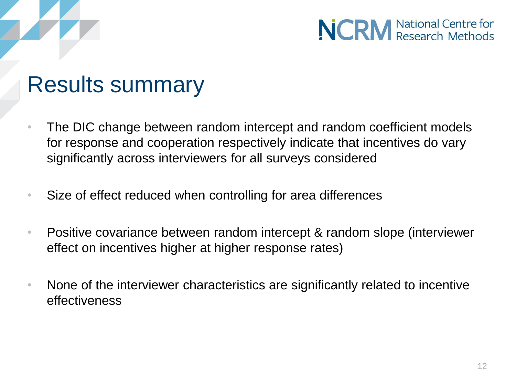



### Results summary

- The DIC change between random intercept and random coefficient models for response and cooperation respectively indicate that incentives do vary significantly across interviewers for all surveys considered
- Size of effect reduced when controlling for area differences
- Positive covariance between random intercept & random slope (interviewer effect on incentives higher at higher response rates)
- None of the interviewer characteristics are significantly related to incentive effectiveness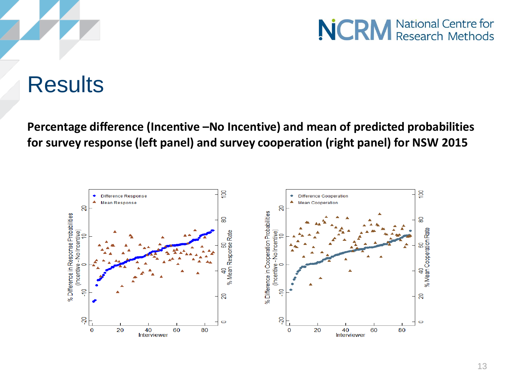

### **Results**

**Percentage difference (Incentive –No Incentive) and mean of predicted probabilities for survey response (left panel) and survey cooperation (right panel) for NSW 2015**

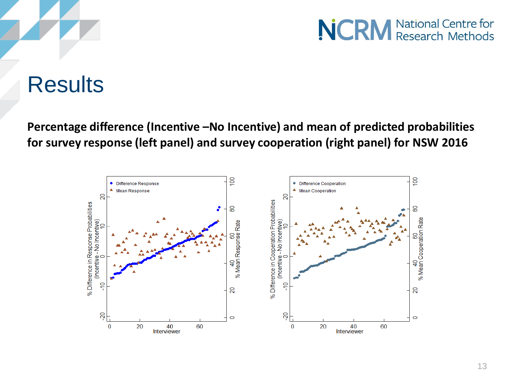

### **Results**

**Percentage difference (Incentive –No Incentive) and mean of predicted probabilities for survey response (left panel) and survey cooperation (right panel) for NSW 2016**

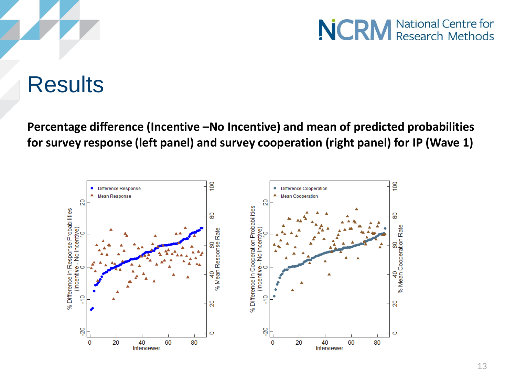

### **Results**

**Percentage difference (Incentive –No Incentive) and mean of predicted probabilities for survey response (left panel) and survey cooperation (right panel) for IP (Wave 1)**